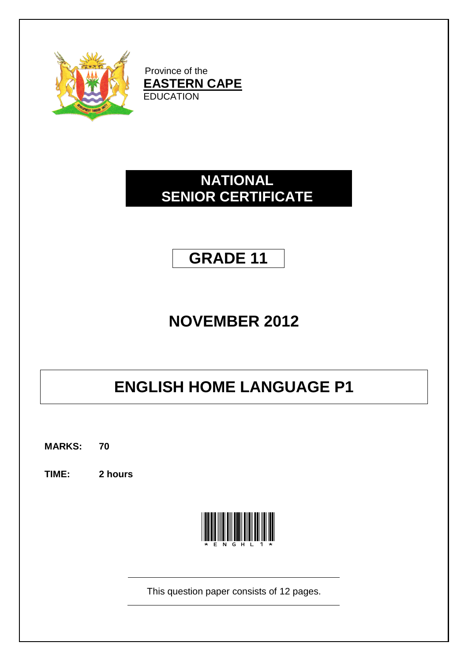

Province of the **EASTERN CAPE EDUCATION** 

## **NATIONAL SENIOR CERTIFICATE**

## **GRADE 11**

## **NOVEMBER 2012**

# **ENGLISH HOME LANGUAGE P1**

**MARKS: 70**

**TIME: 2 hours**



This question paper consists of 12 pages.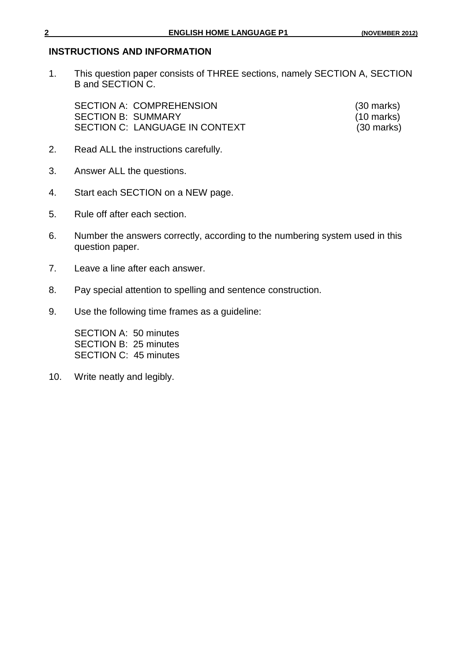#### **INSTRUCTIONS AND INFORMATION**

1. This question paper consists of THREE sections, namely SECTION A, SECTION B and SECTION C.

SECTION A: COMPREHENSION (30 marks) SECTION B: SUMMARY (10 marks) SECTION C: LANGUAGE IN CONTEXT (30 marks)

- 2. Read ALL the instructions carefully.
- 3. Answer ALL the questions.
- 4. Start each SECTION on a NEW page.
- 5. Rule off after each section.
- 6. Number the answers correctly, according to the numbering system used in this question paper.
- 7. Leave a line after each answer.
- 8. Pay special attention to spelling and sentence construction.
- 9. Use the following time frames as a guideline:

SECTION A: 50 minutes SECTION B: 25 minutes SECTION C: 45 minutes

10. Write neatly and legibly.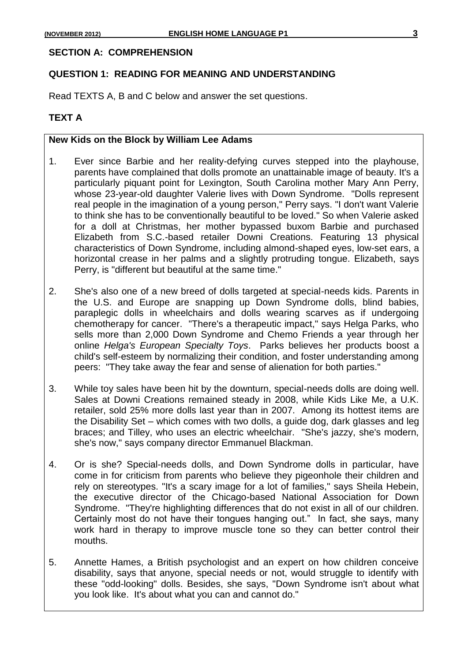#### **SECTION A: COMPREHENSION**

#### **QUESTION 1: READING FOR MEANING AND UNDERSTANDING**

Read TEXTS A, B and C below and answer the set questions.

### **TEXT A**

#### **New Kids on the Block by William Lee Adams**

- 1. Ever since Barbie and her reality-defying curves stepped into the playhouse, parents have complained that dolls promote an unattainable image of beauty. It's a particularly piquant point for Lexington, South Carolina mother Mary Ann Perry, whose 23-year-old daughter Valerie lives with Down Syndrome. "Dolls represent real people in the imagination of a young person," Perry says. "I don't want Valerie to think she has to be conventionally beautiful to be loved." So when Valerie asked for a doll at Christmas, her mother bypassed buxom Barbie and purchased Elizabeth from S.C.-based retailer Downi Creations. Featuring 13 physical characteristics of Down Syndrome, including almond-shaped eyes, low-set ears, a horizontal crease in her palms and a slightly protruding tongue. Elizabeth, says Perry, is "different but beautiful at the same time."
- 2. She's also one of a new breed of dolls targeted at special-needs kids. Parents in the U.S. and Europe are snapping up Down Syndrome dolls, blind babies, paraplegic dolls in wheelchairs and dolls wearing scarves as if undergoing chemotherapy for cancer. "There's a therapeutic impact," says Helga Parks, who sells more than 2,000 Down Syndrome and Chemo Friends a year through her online *Helga's European Specialty Toys*. Parks believes her products boost a child's self-esteem by normalizing their condition, and foster understanding among peers: "They take away the fear and sense of alienation for both parties."
- 3. While toy sales have been hit by the downturn, special-needs dolls are doing well. Sales at Downi Creations remained steady in 2008, while Kids Like Me, a U.K. retailer, sold 25% more dolls last year than in 2007. Among its hottest items are the Disability Set – which comes with two dolls, a guide dog, dark glasses and leg braces; and Tilley, who uses an electric wheelchair. "She's jazzy, she's modern, she's now," says company director Emmanuel Blackman.
- 4. Or is she? Special-needs dolls, and Down Syndrome dolls in particular, have come in for criticism from parents who believe they pigeonhole their children and rely on stereotypes. "It's a scary image for a lot of families," says Sheila Hebein, the executive director of the Chicago-based National Association for Down Syndrome. "They're highlighting differences that do not exist in all of our children. Certainly most do not have their tongues hanging out." In fact, she says, many work hard in therapy to improve muscle tone so they can better control their mouths.
- 5. Annette Hames, a British psychologist and an expert on how children conceive disability, says that anyone, special needs or not, would struggle to identify with these "odd-looking" dolls. Besides, she says, "Down Syndrome isn't about what you look like. It's about what you can and cannot do."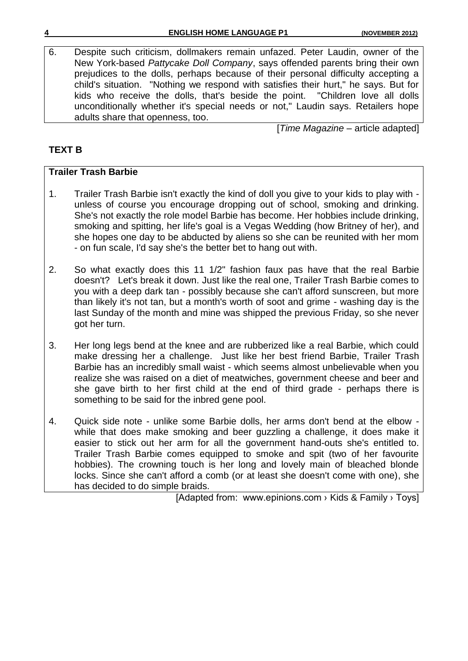6. Despite such criticism, dollmakers remain unfazed. Peter Laudin, owner of the New York-based *Pattycake Doll Company*, says offended parents bring their own prejudices to the dolls, perhaps because of their personal difficulty accepting a child's situation. "Nothing we respond with satisfies their hurt," he says. But for kids who receive the dolls, that's beside the point. "Children love all dolls unconditionally whether it's special needs or not," Laudin says. Retailers hope adults share that openness, too.

[*Time Magazine* – article adapted]

## **TEXT B**

## **Trailer Trash Barbie**

- 1. Trailer Trash Barbie isn't exactly the kind of doll you give to your kids to play with unless of course you encourage dropping out of school, smoking and drinking. She's not exactly the role model Barbie has become. Her hobbies include drinking, smoking and spitting, her life's goal is a Vegas Wedding (how Britney of her), and she hopes one day to be abducted by aliens so she can be reunited with her mom - on fun scale, I'd say she's the better bet to hang out with.
- 2. So what exactly does this 11 1/2" fashion faux pas have that the real Barbie doesn't? Let's break it down. Just like the real one, Trailer Trash Barbie comes to you with a deep dark tan - possibly because she can't afford sunscreen, but more than likely it's not tan, but a month's worth of soot and grime - washing day is the last Sunday of the month and mine was shipped the previous Friday, so she never got her turn.
- 3. Her long legs bend at the knee and are rubberized like a real Barbie, which could make dressing her a challenge. Just like her best friend Barbie, Trailer Trash Barbie has an incredibly small waist - which seems almost unbelievable when you realize she was raised on a diet of meatwiches, government cheese and beer and she gave birth to her first child at the end of third grade - perhaps there is something to be said for the inbred gene pool.
- 4. Quick side note unlike some Barbie dolls, her arms don't bend at the elbow while that does make smoking and beer guzzling a challenge, it does make it easier to stick out her arm for all the government hand-outs she's entitled to. Trailer Trash Barbie comes equipped to smoke and spit (two of her favourite hobbies). The crowning touch is her long and lovely main of bleached blonde locks. Since she can't afford a comb (or at least she doesn't come with one), she has decided to do simple braids.

[Adapted from: www.epinions.com › [Kids & Family](http://www.google.co.za/url?url=http://www.epinions.com/kifm&rct=j&sa=X&ei=p2GQTuHGF7DwmAX3yej7Dw&sqi=2&ved=0CCkQ6QUoADAB&q=trailer+trash+barbie+isn%27t+exactly+the+kind+of+doll&usg=AFQjCNH394Fh68GI9Wkkx1z33PpR8e54yg) › Toys]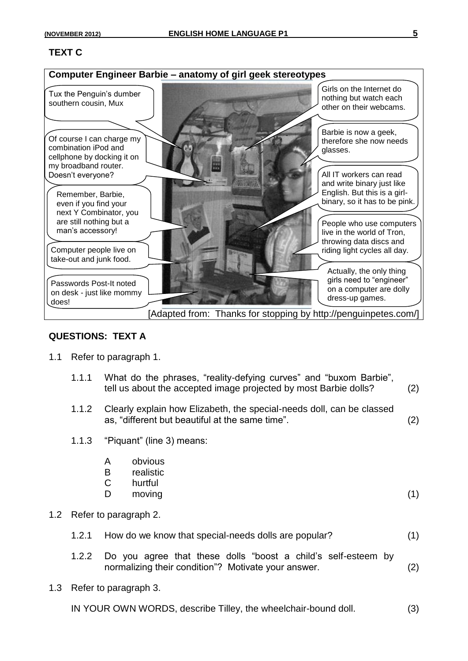## **TEXT C**



#### **QUESTIONS: TEXT A**

- 1.1 Refer to paragraph 1.
	- 1.1.1 What do the phrases, "reality-defying curves" and "buxom Barbie", tell us about the accepted image projected by most Barbie dolls? (2)
	- 1.1.2 Clearly explain how Elizabeth, the special-needs doll, can be classed as, "different but beautiful at the same time". (2)
	- 1.1.3 "Piquant" (line 3) means:
		- A obvious
		- B realistic
		- C hurtful
		- D moving (1)

- 1.2 Refer to paragraph 2.
	- 1.2.1 How do we know that special-needs dolls are popular? (1)
	- 1.2.2 Do you agree that these dolls "boost a child's self-esteem by normalizing their condition"? Motivate your answer. (2)
- 1.3 Refer to paragraph 3.

IN YOUR OWN WORDS, describe Tilley, the wheelchair-bound doll. (3)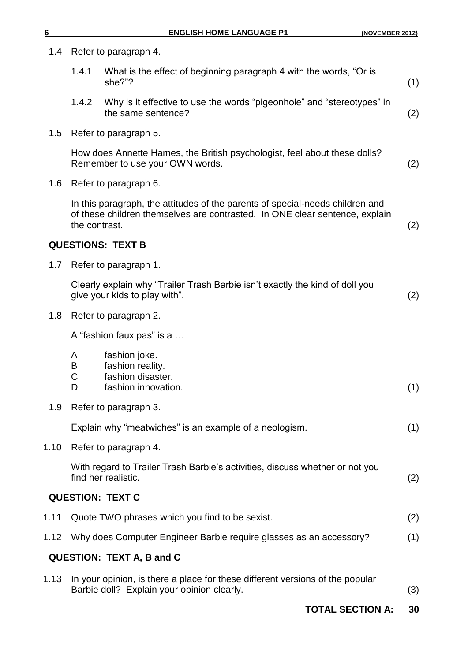| 1.4     | Refer to paragraph 4.     |                                                                                                                                                              |     |
|---------|---------------------------|--------------------------------------------------------------------------------------------------------------------------------------------------------------|-----|
|         | 1.4.1                     | What is the effect of beginning paragraph 4 with the words, "Or is<br>she?"?                                                                                 | (1) |
|         | 1.4.2                     | Why is it effective to use the words "pigeonhole" and "stereotypes" in<br>the same sentence?                                                                 | (2) |
| 1.5     | Refer to paragraph 5.     |                                                                                                                                                              |     |
|         |                           | How does Annette Hames, the British psychologist, feel about these dolls?<br>Remember to use your OWN words.                                                 | (2) |
| $1.6\,$ | Refer to paragraph 6.     |                                                                                                                                                              |     |
|         | the contrast.             | In this paragraph, the attitudes of the parents of special-needs children and<br>of these children themselves are contrasted. In ONE clear sentence, explain | (2) |
|         |                           | <b>QUESTIONS: TEXT B</b>                                                                                                                                     |     |
| 1.7     |                           | Refer to paragraph 1.                                                                                                                                        |     |
|         |                           | Clearly explain why "Trailer Trash Barbie isn't exactly the kind of doll you<br>give your kids to play with".                                                | (2) |
| 1.8     |                           | Refer to paragraph 2.                                                                                                                                        |     |
|         | A "fashion faux pas" is a |                                                                                                                                                              |     |
|         | A<br>B<br>C<br>D          | fashion joke.<br>fashion reality.<br>fashion disaster.<br>fashion innovation.                                                                                | (1) |
| 1.9     |                           | Refer to paragraph 3.                                                                                                                                        |     |
|         |                           | Explain why "meatwiches" is an example of a neologism.                                                                                                       | (1) |
| 1.10    |                           | Refer to paragraph 4.                                                                                                                                        |     |
|         |                           | With regard to Trailer Trash Barbie's activities, discuss whether or not you<br>find her realistic.                                                          | (2) |
|         |                           | <b>QUESTION: TEXT C</b>                                                                                                                                      |     |
| 1.11    |                           | Quote TWO phrases which you find to be sexist.                                                                                                               | (2) |
| 1.12    |                           | Why does Computer Engineer Barbie require glasses as an accessory?                                                                                           | (1) |
|         |                           | <b>QUESTION: TEXT A, B and C</b>                                                                                                                             |     |
| 1.13    |                           | In your opinion, is there a place for these different versions of the popular<br>Barbie doll? Explain your opinion clearly.                                  | (3) |
|         |                           | <b>TOTAL SECTION A:</b>                                                                                                                                      | 30  |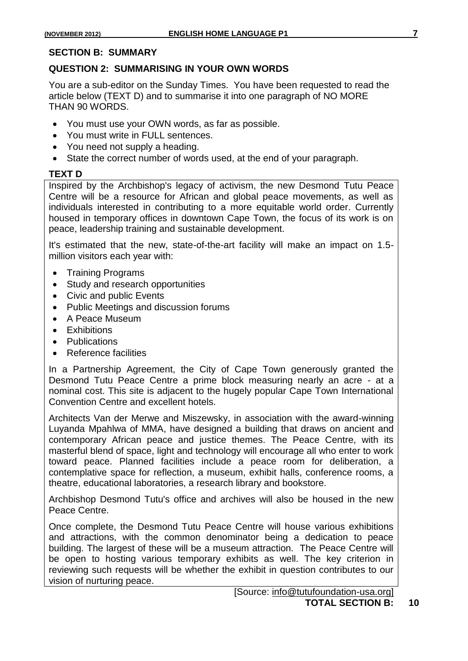#### **SECTION B: SUMMARY**

#### **QUESTION 2: SUMMARISING IN YOUR OWN WORDS**

You are a sub-editor on the Sunday Times. You have been requested to read the article below (TEXT D) and to summarise it into one paragraph of NO MORE THAN 90 WORDS.

- You must use your OWN words, as far as possible.
- You must write in FULL sentences.
- You need not supply a heading.
- State the correct number of words used, at the end of your paragraph.

## **TEXT D**

Inspired by the Archbishop's legacy of activism, the new Desmond Tutu Peace Centre will be a resource for African and global peace movements, as well as individuals interested in contributing to a more equitable world order. Currently housed in temporary offices in downtown Cape Town, the focus of its work is on peace, leadership training and sustainable development.

It's estimated that the new, state-of-the-art facility will make an impact on 1.5 million visitors each year with:

- Training Programs
- Study and research opportunities
- Civic and public Events
- Public Meetings and discussion forums
- A Peace Museum
- Exhibitions
- Publications
- Reference facilities

In a Partnership Agreement, the City of Cape Town generously granted the Desmond Tutu Peace Centre a prime block measuring nearly an acre - at a nominal cost. This site is adjacent to the hugely popular Cape Town International Convention Centre and excellent hotels.

Architects Van der Merwe and Miszewsky, in association with the award-winning Luyanda Mpahlwa of MMA, have designed a building that draws on ancient and contemporary African peace and justice themes. The Peace Centre, with its masterful blend of space, light and technology will encourage all who enter to work toward peace. Planned facilities include a peace room for deliberation, a contemplative space for reflection, a museum, exhibit halls, conference rooms, a theatre, educational laboratories, a research library and bookstore.

Archbishop Desmond Tutu's office and archives will also be housed in the new Peace Centre.

Once complete, the Desmond Tutu Peace Centre will house various exhibitions and attractions, with the common denominator being a dedication to peace building. The largest of these will be a museum attraction. The Peace Centre will be open to hosting various temporary exhibits as well. The key criterion in reviewing such requests will be whether the exhibit in question contributes to our vision of nurturing peace.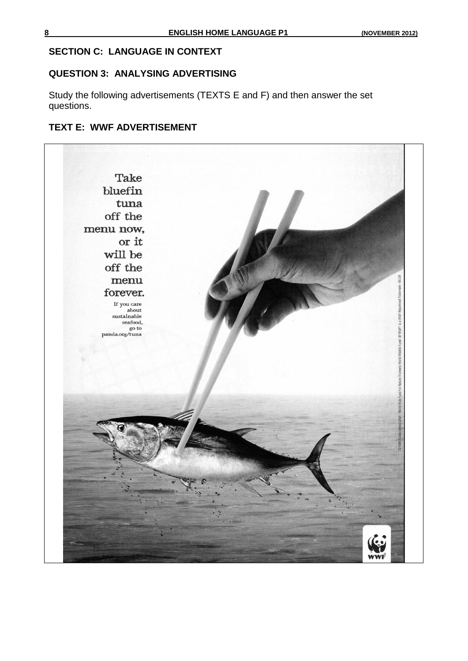## **SECTION C: LANGUAGE IN CONTEXT**

#### **QUESTION 3: ANALYSING ADVERTISING**

Study the following advertisements (TEXTS E and F) and then answer the set questions.

## **TEXT E: WWF ADVERTISEMENT**

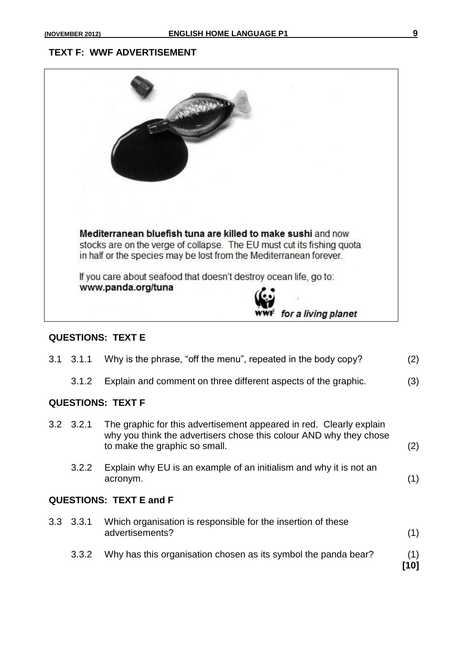#### **TEXT F: WWF ADVERTISEMENT**



#### **QUESTIONS: TEXT E**

| 3.1                            | 3.1.1             | Why is the phrase, "off the menu", repeated in the body copy?                                                                                                              | (2)         |  |  |  |
|--------------------------------|-------------------|----------------------------------------------------------------------------------------------------------------------------------------------------------------------------|-------------|--|--|--|
|                                | 3.1.2             | Explain and comment on three different aspects of the graphic.                                                                                                             | (3)         |  |  |  |
| <b>QUESTIONS: TEXT F</b>       |                   |                                                                                                                                                                            |             |  |  |  |
|                                | $3.2$ $3.2.1$     | The graphic for this advertisement appeared in red. Clearly explain<br>why you think the advertisers chose this colour AND why they chose<br>to make the graphic so small. | (2)         |  |  |  |
|                                | 3.2.2             | Explain why EU is an example of an initialism and why it is not an<br>acronym.                                                                                             | (1)         |  |  |  |
| <b>QUESTIONS: TEXT E and F</b> |                   |                                                                                                                                                                            |             |  |  |  |
|                                | $3.3 \quad 3.3.1$ | Which organisation is responsible for the insertion of these<br>advertisements?                                                                                            | (1)         |  |  |  |
|                                | 3.3.2             | Why has this organisation chosen as its symbol the panda bear?                                                                                                             | (1)<br>[10] |  |  |  |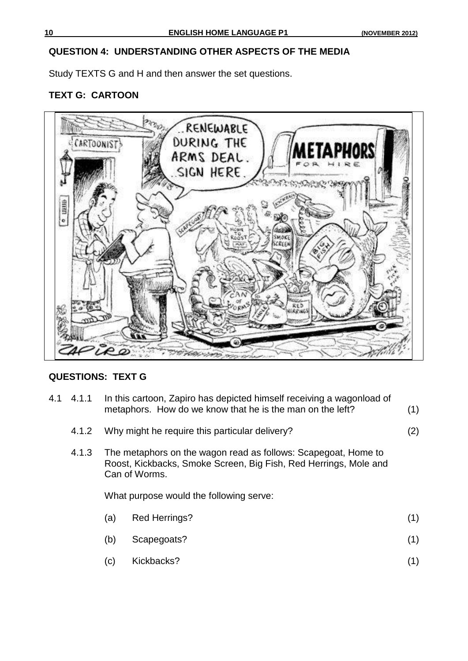## **QUESTION 4: UNDERSTANDING OTHER ASPECTS OF THE MEDIA**

Study TEXTS G and H and then answer the set questions.

## **TEXT G: CARTOON**



## **QUESTIONS: TEXT G**

- 4.1 4.1.1 In this cartoon, Zapiro has depicted himself receiving a wagonload of metaphors. How do we know that he is the man on the left? (1)
	- 4.1.2 Why might he require this particular delivery? (2)

4.1.3 The metaphors on the wagon read as follows: Scapegoat, Home to Roost, Kickbacks, Smoke Screen, Big Fish, Red Herrings, Mole and Can of Worms.

What purpose would the following serve:

- (a) Red Herrings? (1)
- (b) Scapegoats? (1)
- (c) Kickbacks? (1)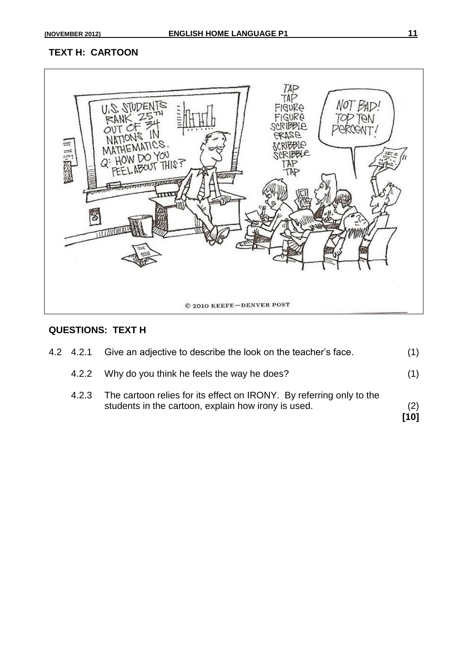## **TEXT H: CARTOON**



#### **QUESTIONS: TEXT H**

| 4.2.2<br>4.2.3 | Why do you think he feels the way he does?<br>The cartoon relies for its effect on IRONY. By referring only to the | (1)         |
|----------------|--------------------------------------------------------------------------------------------------------------------|-------------|
|                | students in the cartoon, explain how irony is used.                                                                | (2)<br>[10] |